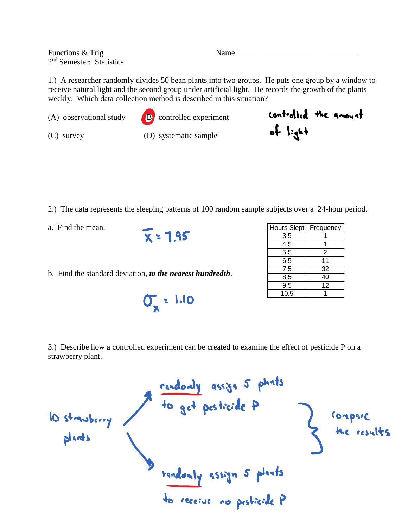Functions & Trig Name 2<sup>nd</sup> Semester: Statistics

1.) A researcher randomly divides 50 bean plants into two groups. He puts one group by a window to receive natural light and the second group under artificial light. He records the growth of the plants weekly. Which data collection method is described in this situation?

(A) observational study  $\begin{bmatrix} \mathbf{B} \end{bmatrix}$  controlled experiment



(C) survey (D) systematic sample

- 2.) The data represents the sleeping patterns of 100 random sample subjects over a 24-hour period.
- a. Find the mean.

 $X = 1.95$ 

b. Find the standard deviation, *to the nearest hundredth*.

 $0.001135$ 

| Hours Slept | Frequency |
|-------------|-----------|
| 3.5         |           |
| 4.5         |           |
| 5.5         | 2         |
| 6.5         | 11        |
| 7.5         | 32        |
| 8.5         | 40        |
| 9.5         | 12        |
| 10.5        |           |

controlled the amount

 $f \cdot g^{-1}$ 

3.) Describe how a controlled experiment can be created to examine the effect of pesticide P on a strawberry plant.